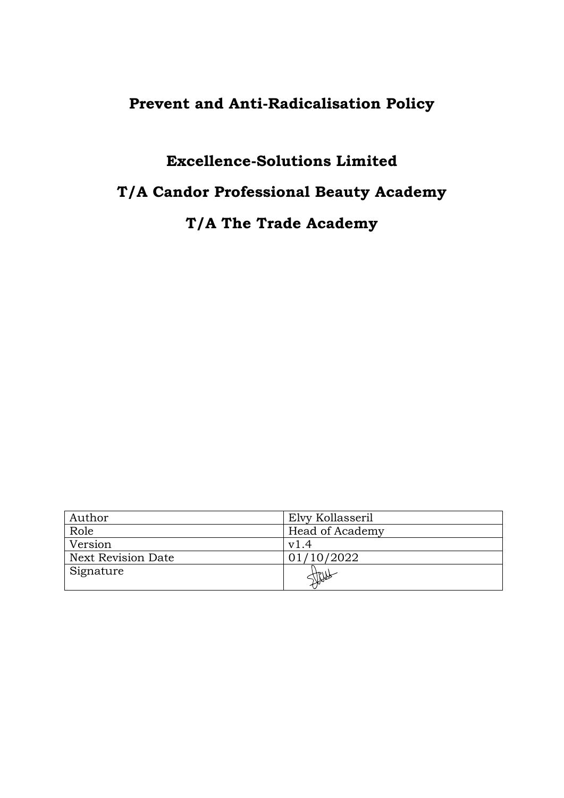# **Prevent and Anti-Radicalisation Policy**

## **Excellence-Solutions Limited**

# **T/A Candor Professional Beauty Academy**

# **T/A The Trade Academy**

| Author                    | Elvy Kollasseril |
|---------------------------|------------------|
| Role                      | Head of Academy  |
| Version                   | v1.4             |
| <b>Next Revision Date</b> | 01/10/2022       |
| Signature                 |                  |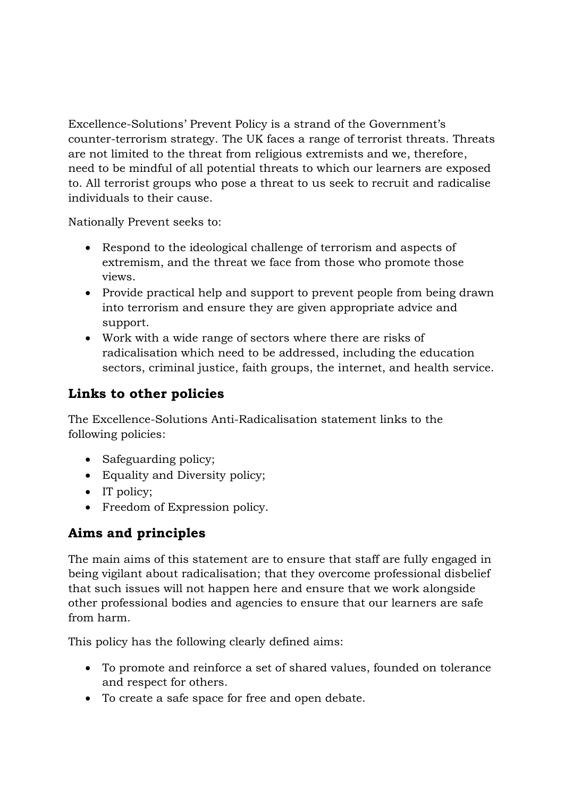Excellence-Solutions' Prevent Policy is a strand of the Government's counter-terrorism strategy. The UK faces a range of terrorist threats. Threats are not limited to the threat from religious extremists and we, therefore, need to be mindful of all potential threats to which our learners are exposed to. All terrorist groups who pose a threat to us seek to recruit and radicalise individuals to their cause.

Nationally Prevent seeks to:

- Respond to the ideological challenge of terrorism and aspects of extremism, and the threat we face from those who promote those views.
- Provide practical help and support to prevent people from being drawn into terrorism and ensure they are given appropriate advice and support.
- Work with a wide range of sectors where there are risks of radicalisation which need to be addressed, including the education sectors, criminal justice, faith groups, the internet, and health service.

## **Links to other policies**

The Excellence-Solutions Anti-Radicalisation statement links to the following policies:

- Safeguarding policy;
- Equality and Diversity policy;
- IT policy;
- Freedom of Expression policy.

## **Aims and principles**

The main aims of this statement are to ensure that staff are fully engaged in being vigilant about radicalisation; that they overcome professional disbelief that such issues will not happen here and ensure that we work alongside other professional bodies and agencies to ensure that our learners are safe from harm.

This policy has the following clearly defined aims:

- To promote and reinforce a set of shared values, founded on tolerance and respect for others.
- To create a safe space for free and open debate.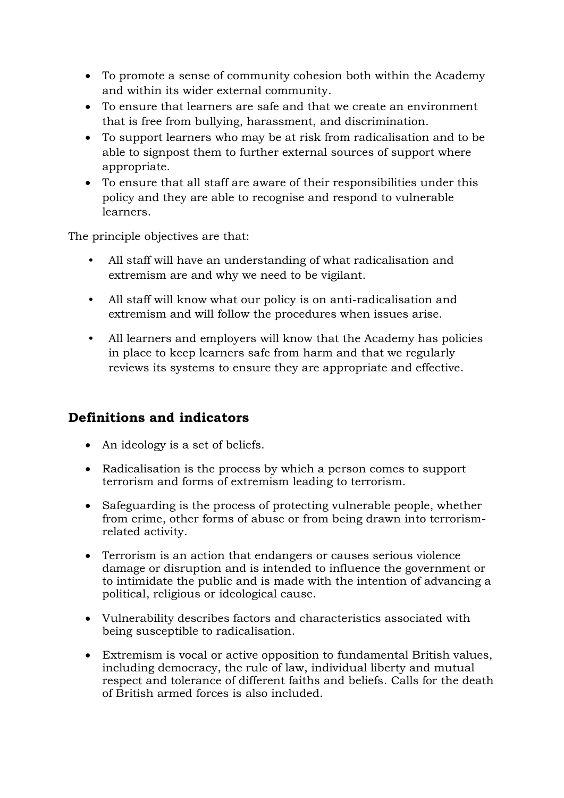- To promote a sense of community cohesion both within the Academy and within its wider external community.
- To ensure that learners are safe and that we create an environment that is free from bullying, harassment, and discrimination.
- To support learners who may be at risk from radicalisation and to be able to signpost them to further external sources of support where appropriate.
- To ensure that all staff are aware of their responsibilities under this policy and they are able to recognise and respond to vulnerable learners.

The principle objectives are that:

- All staff will have an understanding of what radicalisation and extremism are and why we need to be vigilant.
- All staff will know what our policy is on anti-radicalisation and extremism and will follow the procedures when issues arise.
- All learners and employers will know that the Academy has policies in place to keep learners safe from harm and that we regularly reviews its systems to ensure they are appropriate and effective.

### **Definitions and indicators**

- An ideology is a set of beliefs.
- Radicalisation is the process by which a person comes to support terrorism and forms of extremism leading to terrorism.
- Safeguarding is the process of protecting vulnerable people, whether from crime, other forms of abuse or from being drawn into terrorismrelated activity.
- Terrorism is an action that endangers or causes serious violence damage or disruption and is intended to influence the government or to intimidate the public and is made with the intention of advancing a political, religious or ideological cause.
- Vulnerability describes factors and characteristics associated with being susceptible to radicalisation.
- Extremism is vocal or active opposition to fundamental British values, including democracy, the rule of law, individual liberty and mutual respect and tolerance of different faiths and beliefs. Calls for the death of British armed forces is also included.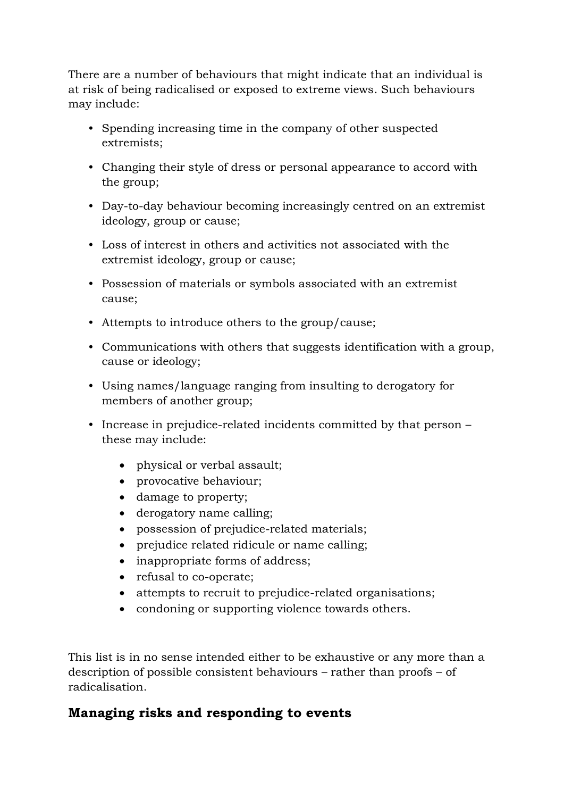There are a number of behaviours that might indicate that an individual is at risk of being radicalised or exposed to extreme views. Such behaviours may include:

- Spending increasing time in the company of other suspected extremists;
- Changing their style of dress or personal appearance to accord with the group;
- Day-to-day behaviour becoming increasingly centred on an extremist ideology, group or cause;
- Loss of interest in others and activities not associated with the extremist ideology, group or cause;
- Possession of materials or symbols associated with an extremist cause;
- Attempts to introduce others to the group/cause;
- Communications with others that suggests identification with a group, cause or ideology;
- Using names/language ranging from insulting to derogatory for members of another group;
- Increase in prejudice-related incidents committed by that person these may include:
	- physical or verbal assault;
	- provocative behaviour;
	- damage to property;
	- derogatory name calling;
	- possession of prejudice-related materials;
	- prejudice related ridicule or name calling;
	- inappropriate forms of address;
	- refusal to co-operate;
	- attempts to recruit to prejudice-related organisations;
	- condoning or supporting violence towards others.

This list is in no sense intended either to be exhaustive or any more than a description of possible consistent behaviours – rather than proofs – of radicalisation.

### **Managing risks and responding to events**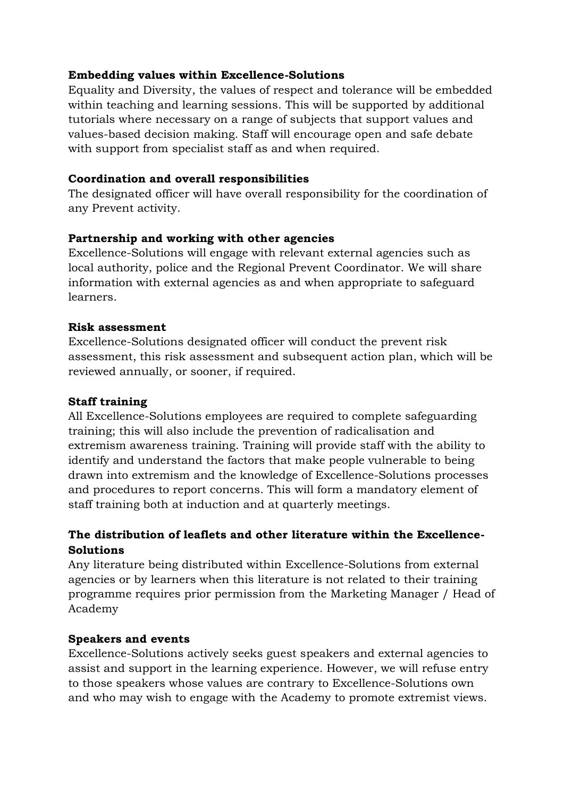#### **Embedding values within Excellence-Solutions**

Equality and Diversity, the values of respect and tolerance will be embedded within teaching and learning sessions. This will be supported by additional tutorials where necessary on a range of subjects that support values and values-based decision making. Staff will encourage open and safe debate with support from specialist staff as and when required.

#### **Coordination and overall responsibilities**

The designated officer will have overall responsibility for the coordination of any Prevent activity.

#### **Partnership and working with other agencies**

Excellence-Solutions will engage with relevant external agencies such as local authority, police and the Regional Prevent Coordinator. We will share information with external agencies as and when appropriate to safeguard learners.

#### **Risk assessment**

Excellence-Solutions designated officer will conduct the prevent risk assessment, this risk assessment and subsequent action plan, which will be reviewed annually, or sooner, if required.

#### **Staff training**

All Excellence-Solutions employees are required to complete safeguarding training; this will also include the prevention of radicalisation and extremism awareness training. Training will provide staff with the ability to identify and understand the factors that make people vulnerable to being drawn into extremism and the knowledge of Excellence-Solutions processes and procedures to report concerns. This will form a mandatory element of staff training both at induction and at quarterly meetings.

#### **The distribution of leaflets and other literature within the Excellence-Solutions**

Any literature being distributed within Excellence-Solutions from external agencies or by learners when this literature is not related to their training programme requires prior permission from the Marketing Manager / Head of Academy

#### **Speakers and events**

Excellence-Solutions actively seeks guest speakers and external agencies to assist and support in the learning experience. However, we will refuse entry to those speakers whose values are contrary to Excellence-Solutions own and who may wish to engage with the Academy to promote extremist views.